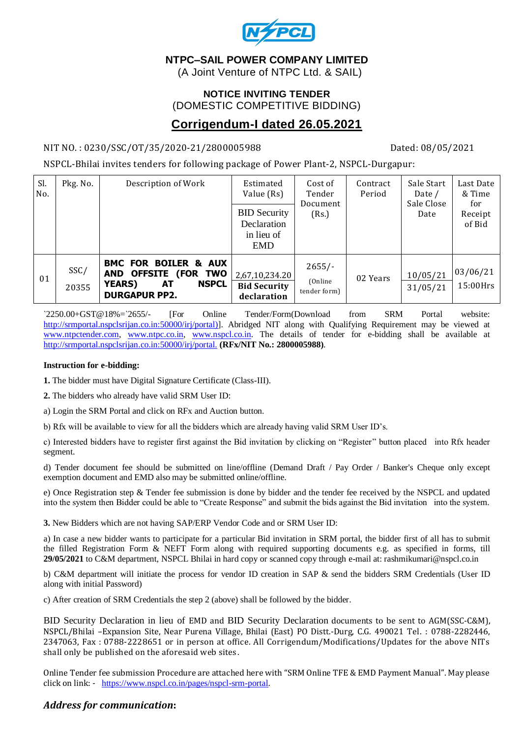

# **NTPC–SAIL POWER COMPANY LIMITED**

(A Joint Venture of NTPC Ltd. & SAIL)

## **NOTICE INVITING TENDER** (DOMESTIC COMPETITIVE BIDDING)

# **Corrigendum-I dated 26.05.2021**

### NIT NO.: 0230/SSC/OT/35/2020-21/2800005988 Dated: 08/05/2021

NSPCL-Bhilai invites tenders for following package of Power Plant-2, NSPCL-Durgapur:

| Sl.<br>No. | Pkg. No.      | Description of Work                                                                                                              | Estimated<br>Value (Rs)                                        | Cost of<br>Tender<br>Document<br>(Rs.) | Contract<br>Period | Sale Start<br>Date /<br>Sale Close<br>Date | Last Date<br>& Time<br>for<br>Receipt<br>of Bid |
|------------|---------------|----------------------------------------------------------------------------------------------------------------------------------|----------------------------------------------------------------|----------------------------------------|--------------------|--------------------------------------------|-------------------------------------------------|
|            |               |                                                                                                                                  | <b>BID Security</b><br>Declaration<br>in lieu of<br><b>EMD</b> |                                        |                    |                                            |                                                 |
| 01         | SSC/<br>20355 | <b>BMC FOR BOILER &amp; AUX</b><br><b>OFFSITE (FOR TWO</b><br>AND<br>AТ<br><b>YEARS)</b><br><b>NSPCL</b><br><b>DURGAPUR PP2.</b> | 2,67,10,234.20<br><b>Bid Security</b><br>declaration           | $2655/-$<br>(Online<br>tender form)    | 02 Years           | 10/05/21<br>31/05/21                       | 03/06/21<br>15:00Hrs                            |

`2250.00+GST@18%=`2655/- [For Online Tender/Form(Download from SRM Portal website: [http://srmportal.nspclsrijan.co.in:50000/irj/portal\)\]](http://srmportal.nspclsrijan.co.in:50000/irj/portal)). Abridged NIT along with Qualifying Requirement may be viewed at [www.ntpctender.com,](http://www.ntpctender.com/) [www.ntpc.co.in,](http://www.ntpc.co.in/) [www.nspcl.co.in.](http://www.nspcl.co.in/) The details of tender for e-bidding shall be available at <http://srmportal.nspclsrijan.co.in:50000/irj/portal.> **(RFx/NIT No.: 2800005988)**.

#### **Instruction for e-bidding:**

**1.** The bidder must have Digital Signature Certificate (Class-III).

**2.** The bidders who already have valid SRM User ID:

a) Login the SRM Portal and click on RFx and Auction button.

b) Rfx will be available to view for all the bidders which are already having valid SRM User ID's.

c) Interested bidders have to register first against the Bid invitation by clicking on "Register" button placed into Rfx header segment.

d) Tender document fee should be submitted on line/offline (Demand Draft / Pay Order / Banker's Cheque only except exemption document and EMD also may be submitted online/offline.

e) Once Registration step & Tender fee submission is done by bidder and the tender fee received by the NSPCL and updated into the system then Bidder could be able to "Create Response" and submit the bids against the Bid invitation into the system.

**3.** New Bidders which are not having SAP/ERP Vendor Code and or SRM User ID:

a) In case a new bidder wants to participate for a particular Bid invitation in SRM portal, the bidder first of all has to submit the filled Registration Form & NEFT Form along with required supporting documents e.g. as specified in forms, till **29/05/2021** to C&M department, NSPCL Bhilai in hard copy or scanned copy through e-mail at: rashmikumari@nspcl.co.in

b) C&M department will initiate the process for vendor ID creation in SAP & send the bidders SRM Credentials (User ID along with initial Password)

c) After creation of SRM Credentials the step 2 (above) shall be followed by the bidder.

BID Security Declaration in lieu of EMD and BID Security Declaration documents to be sent to AGM(SSC-C&M), NSPCL/Bhilai –Expansion Site, Near Purena Village, Bhilai (East) PO Distt.-Durg, C.G. 490021 Tel. : 0788-2282446, 2347063, Fax : 0788-2228651 or in person at office. All Corrigendum/Modifications/Updates for the above NITs shall only be published on the aforesaid web sites.

Online Tender fee submission Procedure are attached here with "SRM Online TFE & EMD Payment Manual". May please click on link: - [https://www.nspcl.co.in/pages/nspcl-srm-portal.](https://www.nspcl.co.in/pages/nspcl-srm-portal)

# *Address for communication***:**